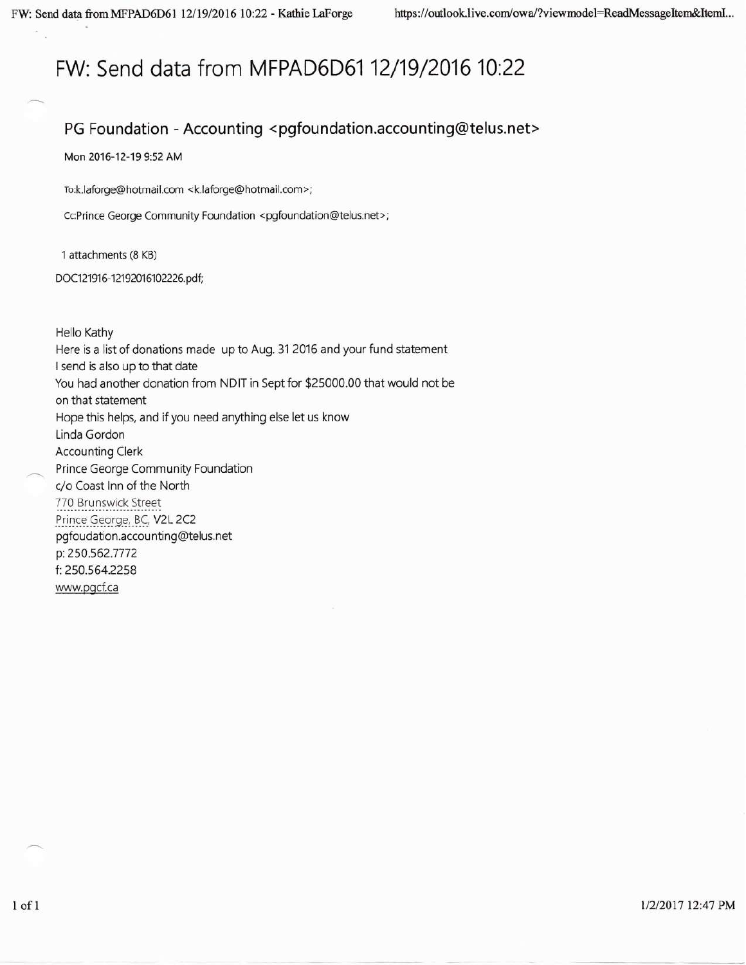# FW: Send data from MFPAD6D61 12/19/2016 10:22

#### PG Foundation - Accounting <pgfoundation.accounting@telus.net>

Mon 2016-12-19 9:52 AM

To:k.laforge@hotmail.com <k.laforge@hotmail.com>;

Cc:Prince George Community Foundation <pgfoundation@telus.net>;

1 attachments (8 KB)

DOC121916-12192016102226.pdf;

**Hello Kathy** Here is a list of donations made up to Aug. 31 2016 and your fund statement I send is also up to that date You had another donation from NDIT in Sept for \$25000.00 that would not be on that statement Hope this helps, and if you need anything else let us know Linda Gordon **Accounting Clerk** Prince George Community Foundation c/o Coast Inn of the North 770 Brunswick Street Prince George, BC, V2L 2C2 pgfoudation.accounting@telus.net p: 250.562.7772 f: 250.564.2258 www.pgcf.ca

1/2/2017 12:47 PM

 $1$  of  $1$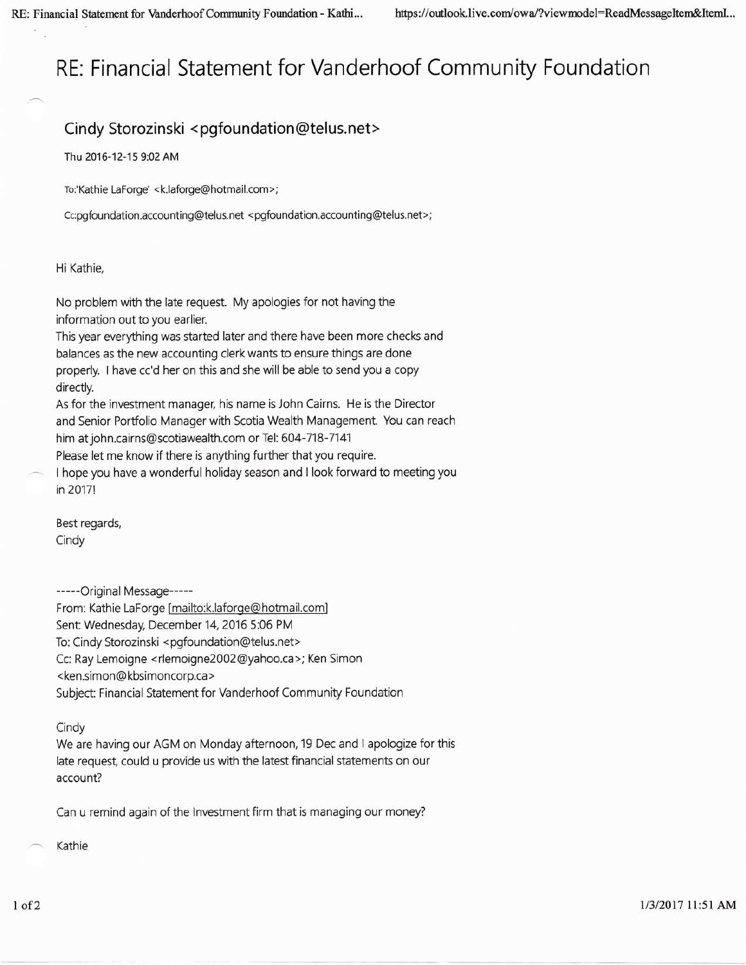# RE: Financial Statement for Vanderhoof Community Foundation

### Cindy Storozinski <pgfoundation@telus.net>

Thu 2016-12-15 9:02 AM

To:'Kathie LaForge' <k.laforge@hotmail.com>;

Cc:pgfoundation.accounting@telus.net <pgfoundation.accounting@telus.net>;

#### Hi Kathie,

No problem with the late request. My apologies for not having the information out to you earlier.

This year everything was started later and there have been more checks and balances as the new accounting clerk wants to ensure things are done properly. I have cc'd her on this and she will be able to send you a copy directly.

As for the investment manager, his name is John Cairns. He is the Director and Senior Portfolio Manager with Scotia Wealth Management. You can reach him at john.cairns@scotiawealth.com or Tel: 604-718-7141

Please let me know if there is anything further that you require.

I hope you have a wonderful holiday season and I look forward to meeting you in 2017!

Best regards, Cindy

-----Original Message-----

From: Kathie LaForge [mailto:k.laforge@hotmail.com] Sent: Wednesday, December 14, 2016 5:06 PM To: Cindy Storozinski <pgfoundation@telus.net> Cc: Ray Lemoigne <rlemoigne2002@yahoo.ca>; Ken Simon <ken.simon@kbsimoncorp.ca> Subject: Financial Statement for Vanderhoof Community Foundation

Cindy

We are having our AGM on Monday afternoon, 19 Dec and I apologize for this late request, could u provide us with the latest financial statements on our account?

Can u remind again of the Investment firm that is managing our money?

Kathie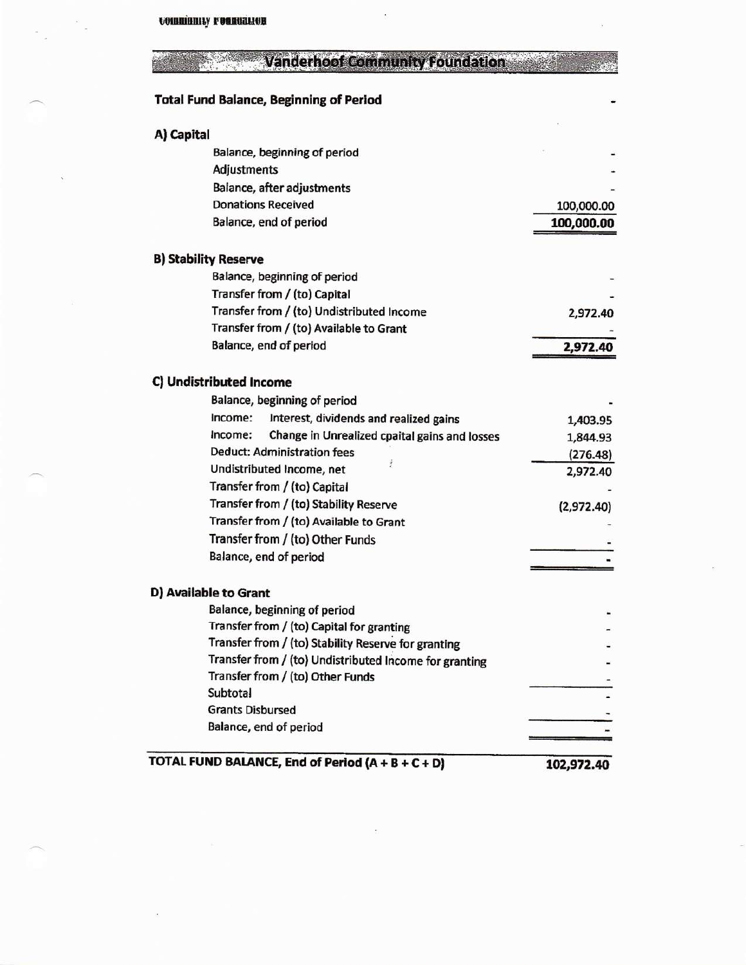## **Vanderhoof Community Foundation**

#### **Total Fund Balance, Beginning of Period**

| A) Capital                                               |            |
|----------------------------------------------------------|------------|
| Balance, beginning of period                             |            |
| Adjustments                                              |            |
| Balance, after adjustments                               |            |
| <b>Donations Received</b>                                | 100,000.00 |
| Balance, end of period                                   | 100,000.00 |
|                                                          |            |
| <b>B) Stability Reserve</b>                              |            |
| Balance, beginning of period                             |            |
| Transfer from / (to) Capital                             |            |
| Transfer from / (to) Undistributed Income                | 2,972.40   |
| Transfer from / (to) Available to Grant                  |            |
| Balance, end of period                                   | 2,972.40   |
|                                                          |            |
| C) Undistributed Income                                  |            |
| Balance, beginning of period                             |            |
| Interest, dividends and realized gains<br>Income:        | 1,403.95   |
| Change in Unrealized cpaital gains and losses<br>Income: | 1,844.93   |
| <b>Deduct: Administration fees</b>                       | (276.48)   |
| Undistributed Income, net                                | 2,972.40   |
| Transfer from / (to) Capital                             |            |
| Transfer from / (to) Stability Reserve                   | (2,972.40) |
| Transfer from / (to) Available to Grant                  |            |
| Transfer from / (to) Other Funds                         |            |
| Balance, end of period                                   |            |
| D) Available to Grant                                    |            |
| Balance, beginning of period                             |            |
| Transfer from / (to) Capital for granting                |            |
| Transfer from / (to) Stability Reserve for granting      |            |
| Transfer from / (to) Undistributed Income for granting   |            |
| Transfer from / (to) Other Funds                         |            |
| <b>Subtotal</b>                                          |            |
| <b>Grants Disbursed</b>                                  |            |
| Balance, end of period                                   |            |
|                                                          |            |
| TOTAL FUND BALANCE, End of Period (A + B + C + D)        | 102,972.40 |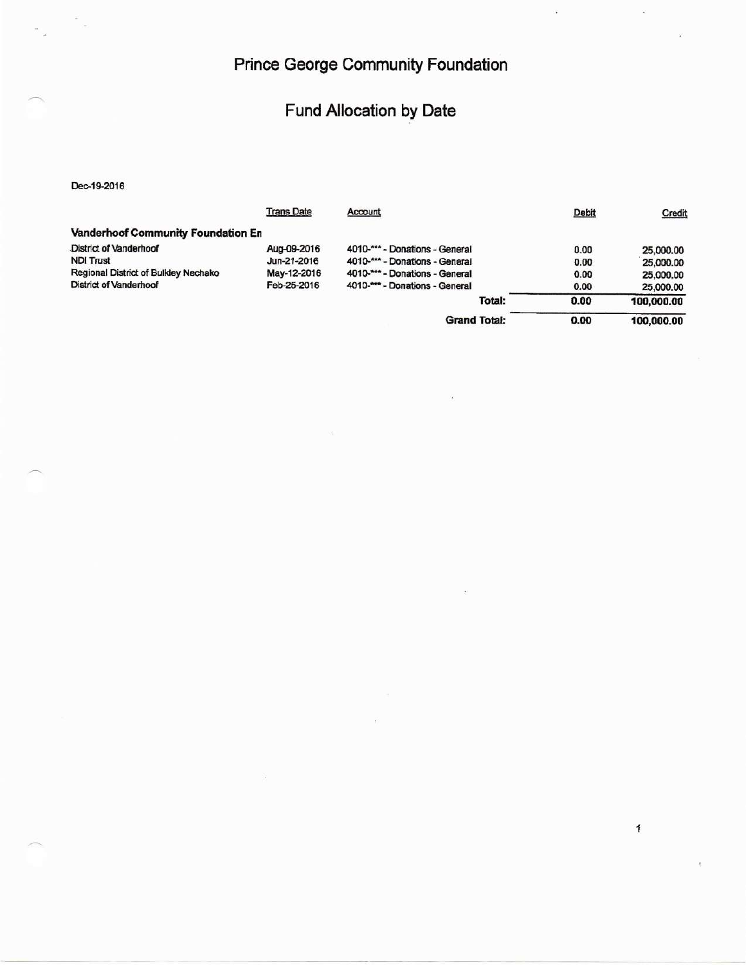## **Prince George Community Foundation**

i.

## Fund Allocation by Date

Dec-19-2016

|                                      | <b>Trans Date</b> | Account                        | Debit | Credit     |
|--------------------------------------|-------------------|--------------------------------|-------|------------|
| Vanderhoof Community Foundation En   |                   |                                |       |            |
| <b>District of Vanderhoof</b>        | Aug-09-2016       | 4010-*** - Donations - General | 0.00  | 25,000.00  |
| <b>NDI Trust</b>                     | Jun-21-2016       | 4010-*** - Donations - General | 0.00  | 25,000.00  |
| Regional District of Bulkley Nechako | May-12-2016       | 4010-*** - Donations - General | 0.00  | 25,000.00  |
| <b>District of Vanderhoof</b>        | Feb-25-2016       | 4010-*** - Donations - General | 0.00  | 25,000.00  |
|                                      |                   | Total:                         | 0.00  | 100,000.00 |
|                                      |                   | <b>Grand Total:</b>            | 0.00  | 100,000.00 |